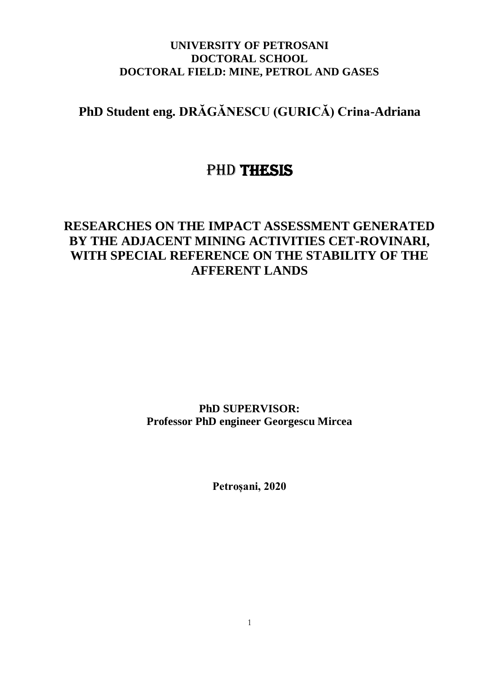#### **UNIVERSITY OF PETROSANI DOCTORAL SCHOOL DOCTORAL FIELD: MINE, PETROL AND GASES**

## **PhD Student eng. DRĂGĂNESCU (GURICĂ) Crina-Adriana**

# PhD THESIS

### **RESEARCHES ON THE IMPACT ASSESSMENT GENERATED BY THE ADJACENT MINING ACTIVITIES CET-ROVINARI, WITH SPECIAL REFERENCE ON THE STABILITY OF THE AFFERENT LANDS**

**PhD SUPERVISOR: Professor PhD engineer Georgescu Mircea**

**Petroșani, 2020**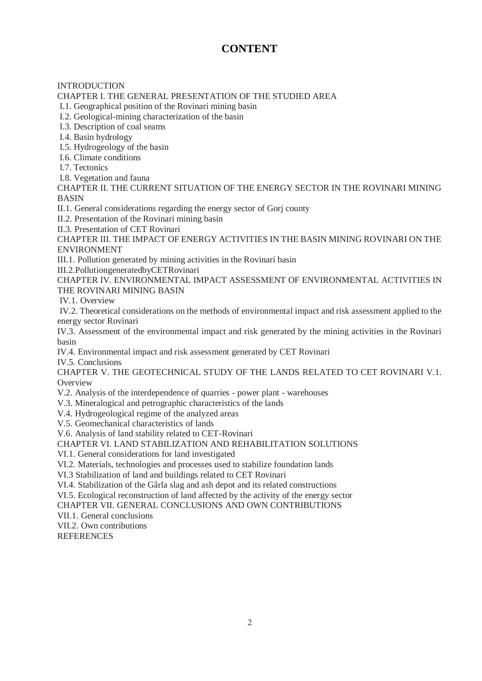#### **CONTENT**

**INTRODUCTION** CHAPTER I. THE GENERAL PRESENTATION OF THE STUDIED AREA I.1. Geographical position of the Rovinari mining basin I.2. Geological-mining characterization of the basin

I.3. Description of coal seams

I.4. Basin hydrology

I.5. Hydrogeology of the basin

I.6. Climate conditions

I.7. Tectonics

I.8. Vegetation and fauna

CHAPTER II. THE CURRENT SITUATION OF THE ENERGY SECTOR IN THE ROVINARI MINING BASIN

II.1. General considerations regarding the energy sector of Gorj county

II.2. Presentation of the Rovinari mining basin

II.3. Presentation of CET Rovinari

CHAPTER III. THE IMPACT OF ENERGY ACTIVITIES IN THE BASIN MINING ROVINARI ON THE ENVIRONMENT

III.1. Pollution generated by mining activities in the Rovinari basin

III.2.PollutiongeneratedbyCETRovinari

CHAPTER IV. ENVIRONMENTAL IMPACT ASSESSMENT OF ENVIRONMENTAL ACTIVITIES IN THE ROVINARI MINING BASIN

IV.1. Overview

IV.2. Theoretical considerations on the methods of environmental impact and risk assessment applied to the energy sector Rovinari

IV.3. Assessment of the environmental impact and risk generated by the mining activities in the Rovinari basin

IV.4. Environmental impact and risk assessment generated by CET Rovinari

IV.5. Conclusions

CHAPTER V. THE GEOTECHNICAL STUDY OF THE LANDS RELATED TO CET ROVINARI V.1. **Overview** 

V.2. Analysis of the interdependence of quarries - power plant - warehouses

V.3. Mineralogical and petrographic characteristics of the lands

V.4. Hydrogeological regime of the analyzed areas

V.5. Geomechanical characteristics of lands

V.6. Analysis of land stability related to CET-Rovinari

CHAPTER VI. LAND STABILIZATION AND REHABILITATION SOLUTIONS

VI.1. General considerations for land investigated

VI.2. Materials, technologies and processes used to stabilize foundation lands

VI.3 Stabilization of land and buildings related to CET Rovinari

VI.4. Stabilization of the Gârla slag and ash depot and its related constructions

VI.5. Ecological reconstruction of land affected by the activity of the energy sector

CHAPTER VII. GENERAL CONCLUSIONS AND OWN CONTRIBUTIONS

VII.1. General conclusions

VII.2. Own contributions

**REFERENCES**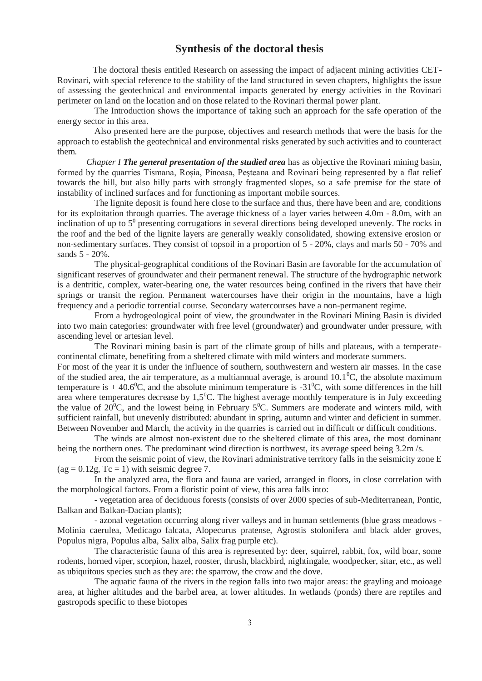#### **Synthesis of the doctoral thesis**

 The doctoral thesis entitled Research on assessing the impact of adjacent mining activities CET-Rovinari, with special reference to the stability of the land structured in seven chapters, highlights the issue of assessing the geotechnical and environmental impacts generated by energy activities in the Rovinari perimeter on land on the location and on those related to the Rovinari thermal power plant.

The Introduction shows the importance of taking such an approach for the safe operation of the energy sector in this area.

Also presented here are the purpose, objectives and research methods that were the basis for the approach to establish the geotechnical and environmental risks generated by such activities and to counteract them.

 *Chapter I The general presentation of the studied area* has as objective the Rovinari mining basin, formed by the quarries Tismana, Roșia, Pinoasa, Peşteana and Rovinari being represented by a flat relief towards the hill, but also hilly parts with strongly fragmented slopes, so a safe premise for the state of instability of inclined surfaces and for functioning as important mobile sources.

The lignite deposit is found here close to the surface and thus, there have been and are, conditions for its exploitation through quarries. The average thickness of a layer varies between 4.0m - 8.0m, with an inclination of up to  $5^0$  presenting corrugations in several directions being developed unevenly. The rocks in the roof and the bed of the lignite layers are generally weakly consolidated, showing extensive erosion or non-sedimentary surfaces. They consist of topsoil in a proportion of 5 - 20%, clays and marls 50 - 70% and sands 5 - 20%.

The physical-geographical conditions of the Rovinari Basin are favorable for the accumulation of significant reserves of groundwater and their permanent renewal. The structure of the hydrographic network is a dentritic, complex, water-bearing one, the water resources being confined in the rivers that have their springs or transit the region. Permanent watercourses have their origin in the mountains, have a high frequency and a periodic torrential course. Secondary watercourses have a non-permanent regime.

From a hydrogeological point of view, the groundwater in the Rovinari Mining Basin is divided into two main categories: groundwater with free level (groundwater) and groundwater under pressure, with ascending level or artesian level.

The Rovinari mining basin is part of the climate group of hills and plateaus, with a temperatecontinental climate, benefiting from a sheltered climate with mild winters and moderate summers.

For most of the year it is under the influence of southern, southwestern and western air masses. In the case of the studied area, the air temperature, as a multiannual average, is around  $10.1^{\circ}$ C, the absolute maximum temperature is  $+40.6^{\circ}$ C, and the absolute minimum temperature is  $-31^{\circ}$ C, with some differences in the hill area where temperatures decrease by  $1.5^{\circ}$ C. The highest average monthly temperature is in July exceeding the value of  $20^{\circ}$ C, and the lowest being in February 5<sup>o</sup>C. Summers are moderate and winters mild, with sufficient rainfall, but unevenly distributed: abundant in spring, autumn and winter and deficient in summer. Between November and March, the activity in the quarries is carried out in difficult or difficult conditions.

The winds are almost non-existent due to the sheltered climate of this area, the most dominant being the northern ones. The predominant wind direction is northwest, its average speed being 3.2m /s.

From the seismic point of view, the Rovinari administrative territory falls in the seismicity zone E  $(ag = 0.12g, Tc = 1)$  with seismic degree 7.

In the analyzed area, the flora and fauna are varied, arranged in floors, in close correlation with the morphological factors. From a floristic point of view, this area falls into:

- vegetation area of deciduous forests (consists of over 2000 species of sub-Mediterranean, Pontic, Balkan and Balkan-Dacian plants);

- azonal vegetation occurring along river valleys and in human settlements (blue grass meadows - Molinia caerulea, Medicago falcata, Alopecurus pratense, Agrostis stolonifera and black alder groves, Populus nigra, Populus alba, Salix alba, Salix frag purple etc).

The characteristic fauna of this area is represented by: deer, squirrel, rabbit, fox, wild boar, some rodents, horned viper, scorpion, hazel, rooster, thrush, blackbird, nightingale, woodpecker, sitar, etc., as well as ubiquitous species such as they are: the sparrow, the crow and the dove.

The aquatic fauna of the rivers in the region falls into two major areas: the grayling and moioage area, at higher altitudes and the barbel area, at lower altitudes. In wetlands (ponds) there are reptiles and gastropods specific to these biotopes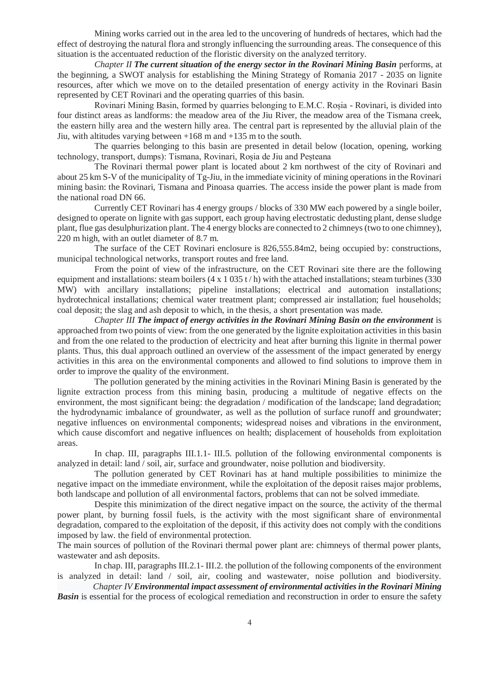Mining works carried out in the area led to the uncovering of hundreds of hectares, which had the effect of destroying the natural flora and strongly influencing the surrounding areas. The consequence of this situation is the accentuated reduction of the floristic diversity on the analyzed territory.

*Chapter II The current situation of the energy sector in the Rovinari Mining Basin* performs, at the beginning, a SWOT analysis for establishing the Mining Strategy of Romania 2017 - 2035 on lignite resources, after which we move on to the detailed presentation of energy activity in the Rovinari Basin represented by CET Rovinari and the operating quarries of this basin.

Rovinari Mining Basin, formed by quarries belonging to E.M.C. Roșia - Rovinari, is divided into four distinct areas as landforms: the meadow area of the Jiu River, the meadow area of the Tismana creek, the eastern hilly area and the western hilly area. The central part is represented by the alluvial plain of the Jiu, with altitudes varying between +168 m and +135 m to the south.

The quarries belonging to this basin are presented in detail below (location, opening, working technology, transport, dumps): Tismana, Rovinari, Roșia de Jiu and Peșteana

The Rovinari thermal power plant is located about 2 km northwest of the city of Rovinari and about 25 km S-V of the municipality of Tg-Jiu, in the immediate vicinity of mining operations in the Rovinari mining basin: the Rovinari, Tismana and Pinoasa quarries. The access inside the power plant is made from the national road DN 66.

Currently CET Rovinari has 4 energy groups / blocks of 330 MW each powered by a single boiler, designed to operate on lignite with gas support, each group having electrostatic dedusting plant, dense sludge plant, flue gas desulphurization plant. The 4 energy blocks are connected to 2 chimneys (two to one chimney), 220 m high, with an outlet diameter of 8.7 m.

The surface of the CET Rovinari enclosure is 826,555.84m2, being occupied by: constructions, municipal technological networks, transport routes and free land.

From the point of view of the infrastructure, on the CET Rovinari site there are the following equipment and installations: steam boilers  $(4 \times 1035 t/h)$  with the attached installations; steam turbines (330) MW) with ancillary installations; pipeline installations; electrical and automation installations; hydrotechnical installations; chemical water treatment plant; compressed air installation; fuel households; coal deposit; the slag and ash deposit to which, in the thesis, a short presentation was made.

*Chapter III The impact of energy activities in the Rovinari Mining Basin on the environment* is approached from two points of view: from the one generated by the lignite exploitation activities in this basin and from the one related to the production of electricity and heat after burning this lignite in thermal power plants. Thus, this dual approach outlined an overview of the assessment of the impact generated by energy activities in this area on the environmental components and allowed to find solutions to improve them in order to improve the quality of the environment.

The pollution generated by the mining activities in the Rovinari Mining Basin is generated by the lignite extraction process from this mining basin, producing a multitude of negative effects on the environment, the most significant being: the degradation / modification of the landscape; land degradation; the hydrodynamic imbalance of groundwater, as well as the pollution of surface runoff and groundwater; negative influences on environmental components; widespread noises and vibrations in the environment, which cause discomfort and negative influences on health; displacement of households from exploitation areas.

In chap. III, paragraphs III.1.1- III.5. pollution of the following environmental components is analyzed in detail: land / soil, air, surface and groundwater, noise pollution and biodiversity.

The pollution generated by CET Rovinari has at hand multiple possibilities to minimize the negative impact on the immediate environment, while the exploitation of the deposit raises major problems, both landscape and pollution of all environmental factors, problems that can not be solved immediate.

Despite this minimization of the direct negative impact on the source, the activity of the thermal power plant, by burning fossil fuels, is the activity with the most significant share of environmental degradation, compared to the exploitation of the deposit, if this activity does not comply with the conditions imposed by law. the field of environmental protection.

The main sources of pollution of the Rovinari thermal power plant are: chimneys of thermal power plants, wastewater and ash deposits.

In chap. III, paragraphs III.2.1- III.2. the pollution of the following components of the environment is analyzed in detail: land / soil, air, cooling and wastewater, noise pollution and biodiversity.

 *Chapter IV Environmental impact assessment of environmental activities in the Rovinari Mining Basin* is essential for the process of ecological remediation and reconstruction in order to ensure the safety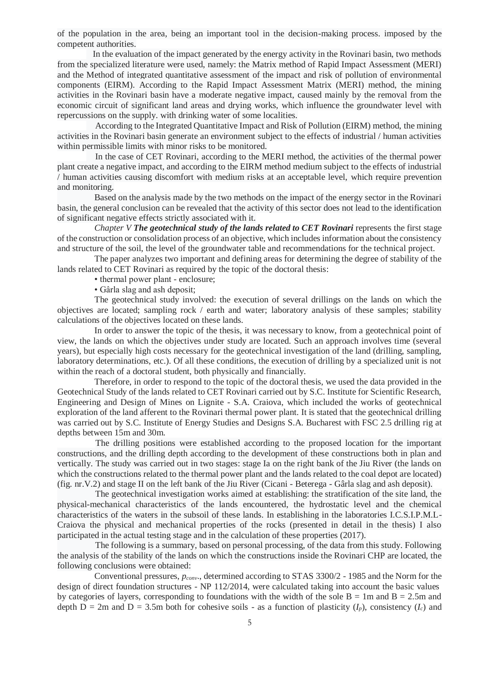of the population in the area, being an important tool in the decision-making process. imposed by the competent authorities.

 In the evaluation of the impact generated by the energy activity in the Rovinari basin, two methods from the specialized literature were used, namely: the Matrix method of Rapid Impact Assessment (MERI) and the Method of integrated quantitative assessment of the impact and risk of pollution of environmental components (EIRM). According to the Rapid Impact Assessment Matrix (MERI) method, the mining activities in the Rovinari basin have a moderate negative impact, caused mainly by the removal from the economic circuit of significant land areas and drying works, which influence the groundwater level with repercussions on the supply. with drinking water of some localities.

 According to the Integrated Quantitative Impact and Risk of Pollution (EIRM) method, the mining activities in the Rovinari basin generate an environment subject to the effects of industrial / human activities within permissible limits with minor risks to be monitored.

 In the case of CET Rovinari, according to the MERI method, the activities of the thermal power plant create a negative impact, and according to the EIRM method medium subject to the effects of industrial / human activities causing discomfort with medium risks at an acceptable level, which require prevention and monitoring.

Based on the analysis made by the two methods on the impact of the energy sector in the Rovinari basin, the general conclusion can be revealed that the activity of this sector does not lead to the identification of significant negative effects strictly associated with it.

*Chapter V The geotechnical study of the lands related to CET Rovinari* represents the first stage of the construction or consolidation process of an objective, which includes information about the consistency and structure of the soil, the level of the groundwater table and recommendations for the technical project.

 The paper analyzes two important and defining areas for determining the degree of stability of the lands related to CET Rovinari as required by the topic of the doctoral thesis:

• thermal power plant - enclosure:

• Gârla slag and ash deposit;

The geotechnical study involved: the execution of several drillings on the lands on which the objectives are located; sampling rock / earth and water; laboratory analysis of these samples; stability calculations of the objectives located on these lands.

In order to answer the topic of the thesis, it was necessary to know, from a geotechnical point of view, the lands on which the objectives under study are located. Such an approach involves time (several years), but especially high costs necessary for the geotechnical investigation of the land (drilling, sampling, laboratory determinations, etc.). Of all these conditions, the execution of drilling by a specialized unit is not within the reach of a doctoral student, both physically and financially.

Therefore, in order to respond to the topic of the doctoral thesis, we used the data provided in the Geotechnical Study of the lands related to CET Rovinari carried out by S.C. Institute for Scientific Research, Engineering and Design of Mines on Lignite - S.A. Craiova, which included the works of geotechnical exploration of the land afferent to the Rovinari thermal power plant. It is stated that the geotechnical drilling was carried out by S.C. Institute of Energy Studies and Designs S.A. Bucharest with FSC 2.5 drilling rig at depths between 15m and 30m.

 The drilling positions were established according to the proposed location for the important constructions, and the drilling depth according to the development of these constructions both in plan and vertically. The study was carried out in two stages: stage Ia on the right bank of the Jiu River (the lands on which the constructions related to the thermal power plant and the lands related to the coal depot are located) (fig. nr.V.2) and stage II on the left bank of the Jiu River (Cicani - Beterega - Gârla slag and ash deposit).

 The geotechnical investigation works aimed at establishing: the stratification of the site land, the physical-mechanical characteristics of the lands encountered, the hydrostatic level and the chemical characteristics of the waters in the subsoil of these lands. In establishing in the laboratories I.C.S.I.P.M.L-Craiova the physical and mechanical properties of the rocks (presented in detail in the thesis) I also participated in the actual testing stage and in the calculation of these properties (2017).

 The following is a summary, based on personal processing, of the data from this study. Following the analysis of the stability of the lands on which the constructions inside the Rovinari CHP are located, the following conclusions were obtained:

Conventional pressures, *pconv*., determined according to STAS 3300/2 - 1985 and the Norm for the design of direct foundation structures - NP 112/2014, were calculated taking into account the basic values by categories of layers, corresponding to foundations with the width of the sole  $B = 1m$  and  $B = 2.5m$  and depth  $D = 2m$  and  $D = 3.5m$  both for cohesive soils - as a function of plasticity  $(I_p)$ , consistency  $(I_c)$  and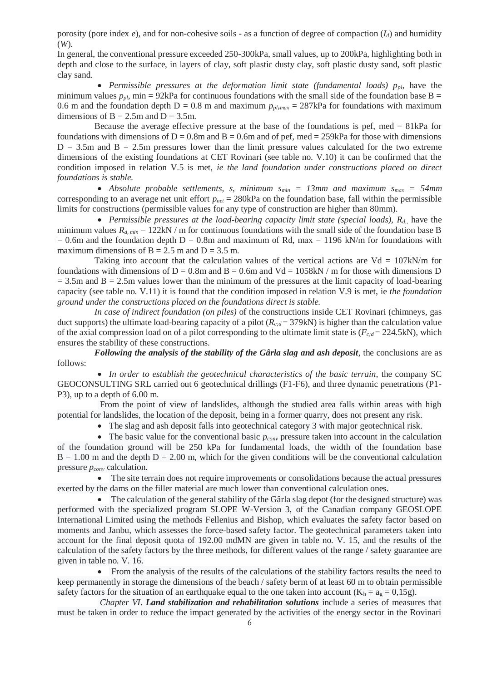porosity (pore index *e*), and for non-cohesive soils - as a function of degree of compaction (*Id*) and humidity (*W*).

In general, the conventional pressure exceeded 250-300kPa, small values, up to 200kPa, highlighting both in depth and close to the surface, in layers of clay, soft plastic dusty clay, soft plastic dusty sand, soft plastic clay sand.

• Permissible pressures at the deformation limit state (fundamental loads)  $p_{p}$ , have the minimum values  $p_{p}$ , min = 92kPa for continuous foundations with the small side of the foundation base B = 0.6 m and the foundation depth  $D = 0.8$  m and maximum  $p_{p_l, max} = 287kPa$  for foundations with maximum dimensions of  $B = 2.5$ m and  $D = 3.5$ m.

Because the average effective pressure at the base of the foundations is pef,  $med = 81kPa$  for foundations with dimensions of  $D = 0.8$ m and  $B = 0.6$ m and of pef, med = 259kPa for those with dimensions  $D = 3.5$ m and  $B = 2.5$ m pressures lower than the limit pressure values calculated for the two extreme dimensions of the existing foundations at CET Rovinari (see table no. V.10) it can be confirmed that the condition imposed in relation V.5 is met, *ie the land foundation under constructions placed on direct foundations is stable.*

 *Absolute probable settlements, s, minimum smin = 13mm and maximum smax = 54mm* corresponding to an average net unit effort  $p_{net} = 280kPa$  on the foundation base, fall within the permissible limits for constructions (permissible values for any type of construction are higher than 80mm).

 *Permissible pressures at the load-bearing capacity limit state (special loads), Rd*,, have the minimum values *Rd, min* = 122kN / m for continuous foundations with the small side of the foundation base B  $= 0.6$ m and the foundation depth D = 0.8m and maximum of Rd, max = 1196 kN/m for foundations with maximum dimensions of  $B = 2.5$  m and  $D = 3.5$  m.

Taking into account that the calculation values of the vertical actions are  $Vd = 107kN/m$  for foundations with dimensions of  $D = 0.8$ m and  $B = 0.6$ m and  $Vd = 1058$ kN / m for those with dimensions D  $= 3.5$ m and B  $= 2.5$ m values lower than the minimum of the pressures at the limit capacity of load-bearing capacity (see table no. V.11) it is found that the condition imposed in relation V.9 is met, ie *the foundation ground under the constructions placed on the foundations direct is stable.*

*In case of indirect foundation (on piles)* of the constructions inside CET Rovinari (chimneys, gas duct supports) the ultimate load-bearing capacity of a pilot  $(R_{c,d} = 379 \text{kN})$  is higher than the calculation value of the axial compression load on of a pilot corresponding to the ultimate limit state is  $(F_{c,d} = 224.5 \text{kN})$ , which ensures the stability of these constructions.

*Following the analysis of the stability of the Gârla slag and ash deposit*, the conclusions are as follows:

• In order to establish the geotechnical characteristics of the basic terrain, the company SC GEOCONSULTING SRL carried out 6 geotechnical drillings (F1-F6), and three dynamic penetrations (P1- P3), up to a depth of 6.00 m.

From the point of view of landslides, although the studied area falls within areas with high potential for landslides, the location of the deposit, being in a former quarry, does not present any risk.

The slag and ash deposit falls into geotechnical category 3 with major geotechnical risk.

• The basic value for the conventional basic  $p_{conv}$  pressure taken into account in the calculation of the foundation ground will be 250 kPa for fundamental loads, the width of the foundation base  $B = 1.00$  m and the depth  $D = 2.00$  m, which for the given conditions will be the conventional calculation pressure *pconv* calculation.

• The site terrain does not require improvements or consolidations because the actual pressures exerted by the dams on the filler material are much lower than conventional calculation ones.

 The calculation of the general stability of the Gârla slag depot (for the designed structure) was performed with the specialized program SLOPE W-Version 3, of the Canadian company GEOSLOPE International Limited using the methods Fellenius and Bishop, which evaluates the safety factor based on moments and Janbu, which assesses the force-based safety factor. The geotechnical parameters taken into account for the final deposit quota of 192.00 mdMN are given in table no. V. 15, and the results of the calculation of the safety factors by the three methods, for different values of the range / safety guarantee are given in table no. V. 16.

 From the analysis of the results of the calculations of the stability factors results the need to keep permanently in storage the dimensions of the beach / safety berm of at least 60 m to obtain permissible safety factors for the situation of an earthquake equal to the one taken into account  $(K_h = a_g = 0.15g)$ .

*Chapter VI*. *Land stabilization and rehabilitation solutions* include a series of measures that must be taken in order to reduce the impact generated by the activities of the energy sector in the Rovinari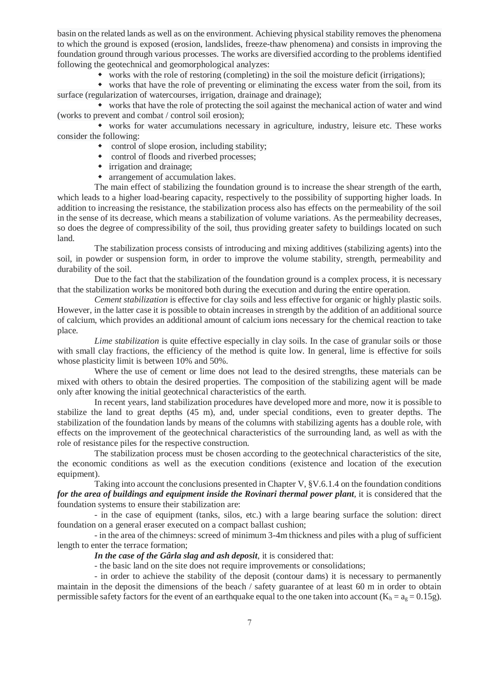basin on the related lands as well as on the environment. Achieving physical stability removes the phenomena to which the ground is exposed (erosion, landslides, freeze-thaw phenomena) and consists in improving the foundation ground through various processes. The works are diversified according to the problems identified following the geotechnical and geomorphological analyzes:

works with the role of restoring (completing) in the soil the moisture deficit (irrigations);

 works that have the role of preventing or eliminating the excess water from the soil, from its surface (regularization of watercourses, irrigation, drainage and drainage);

 works that have the role of protecting the soil against the mechanical action of water and wind (works to prevent and combat / control soil erosion);

 works for water accumulations necessary in agriculture, industry, leisure etc. These works consider the following:

- control of slope erosion, including stability;
- control of floods and riverbed processes;
- irrigation and drainage;
- arrangement of accumulation lakes.

The main effect of stabilizing the foundation ground is to increase the shear strength of the earth, which leads to a higher load-bearing capacity, respectively to the possibility of supporting higher loads. In addition to increasing the resistance, the stabilization process also has effects on the permeability of the soil in the sense of its decrease, which means a stabilization of volume variations. As the permeability decreases, so does the degree of compressibility of the soil, thus providing greater safety to buildings located on such land.

The stabilization process consists of introducing and mixing additives (stabilizing agents) into the soil, in powder or suspension form, in order to improve the volume stability, strength, permeability and durability of the soil.

Due to the fact that the stabilization of the foundation ground is a complex process, it is necessary that the stabilization works be monitored both during the execution and during the entire operation.

*Cement stabilization* is effective for clay soils and less effective for organic or highly plastic soils. However, in the latter case it is possible to obtain increases in strength by the addition of an additional source of calcium, which provides an additional amount of calcium ions necessary for the chemical reaction to take place.

*Lime stabilization* is quite effective especially in clay soils. In the case of granular soils or those with small clay fractions, the efficiency of the method is quite low. In general, lime is effective for soils whose plasticity limit is between 10% and 50%.

Where the use of cement or lime does not lead to the desired strengths, these materials can be mixed with others to obtain the desired properties. The composition of the stabilizing agent will be made only after knowing the initial geotechnical characteristics of the earth.

In recent years, land stabilization procedures have developed more and more, now it is possible to stabilize the land to great depths (45 m), and, under special conditions, even to greater depths. The stabilization of the foundation lands by means of the columns with stabilizing agents has a double role, with effects on the improvement of the geotechnical characteristics of the surrounding land, as well as with the role of resistance piles for the respective construction.

The stabilization process must be chosen according to the geotechnical characteristics of the site, the economic conditions as well as the execution conditions (existence and location of the execution equipment).

Taking into account the conclusions presented in Chapter V, §V.6.1.4 on the foundation conditions *for the area of buildings and equipment inside the Rovinari thermal power plant*, it is considered that the foundation systems to ensure their stabilization are:

- in the case of equipment (tanks, silos, etc.) with a large bearing surface the solution: direct foundation on a general eraser executed on a compact ballast cushion;

- in the area of the chimneys: screed of minimum 3-4m thickness and piles with a plug of sufficient length to enter the terrace formation;

#### *In the case of the Gârla slag and ash deposit*, it is considered that:

- the basic land on the site does not require improvements or consolidations;

- in order to achieve the stability of the deposit (contour dams) it is necessary to permanently maintain in the deposit the dimensions of the beach / safety guarantee of at least 60 m in order to obtain permissible safety factors for the event of an earthquake equal to the one taken into account ( $K_h = a_g = 0.15g$ ).